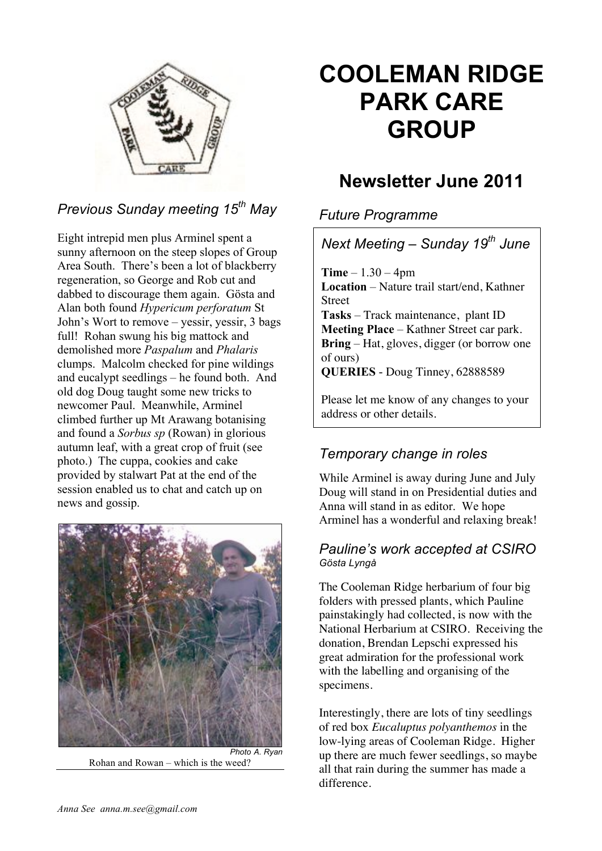

# *Previous Sunday meeting 15th May*

Eight intrepid men plus Arminel spent a sunny afternoon on the steep slopes of Group Area South. There's been a lot of blackberry regeneration, so George and Rob cut and dabbed to discourage them again. Gösta and Alan both found *Hypericum perforatum* St John's Wort to remove – yessir, yessir, 3 bags full! Rohan swung his big mattock and demolished more *Paspalum* and *Phalaris* clumps. Malcolm checked for pine wildings and eucalypt seedlings – he found both. And old dog Doug taught some new tricks to newcomer Paul. Meanwhile, Arminel climbed further up Mt Arawang botanising and found a *Sorbus sp* (Rowan) in glorious autumn leaf, with a great crop of fruit (see photo.) The cuppa, cookies and cake provided by stalwart Pat at the end of the session enabled us to chat and catch up on news and gossip.



*Photo A. Ryan* Rohan and Rowan – which is the weed?

# **COOLEMAN RIDGE PARK CARE GROUP**

# **Newsletter June 2011**

*Future Programme*

*Next Meeting – Sunday 19th June* **Time** – 1.30 – 4pm **Location** – Nature trail start/end, Kathner Street **Tasks** – Track maintenance, plant ID **Meeting Place** – Kathner Street car park. **Bring** – Hat, gloves, digger (or borrow one of ours) **QUERIES** - Doug Tinney, 62888589

Please let me know of any changes to your address or other details.

# *Temporary change in roles*

While Arminel is away during June and July Doug will stand in on Presidential duties and Anna will stand in as editor. We hope Arminel has a wonderful and relaxing break!

#### *Pauline's work accepted at CSIRO Gösta Lyngå*

The Cooleman Ridge herbarium of four big folders with pressed plants, which Pauline painstakingly had collected, is now with the National Herbarium at CSIRO. Receiving the donation, Brendan Lepschi expressed his great admiration for the professional work with the labelling and organising of the specimens.

Interestingly, there are lots of tiny seedlings of red box *Eucaluptus polyanthemos* in the low-lying areas of Cooleman Ridge. Higher up there are much fewer seedlings, so maybe all that rain during the summer has made a difference.